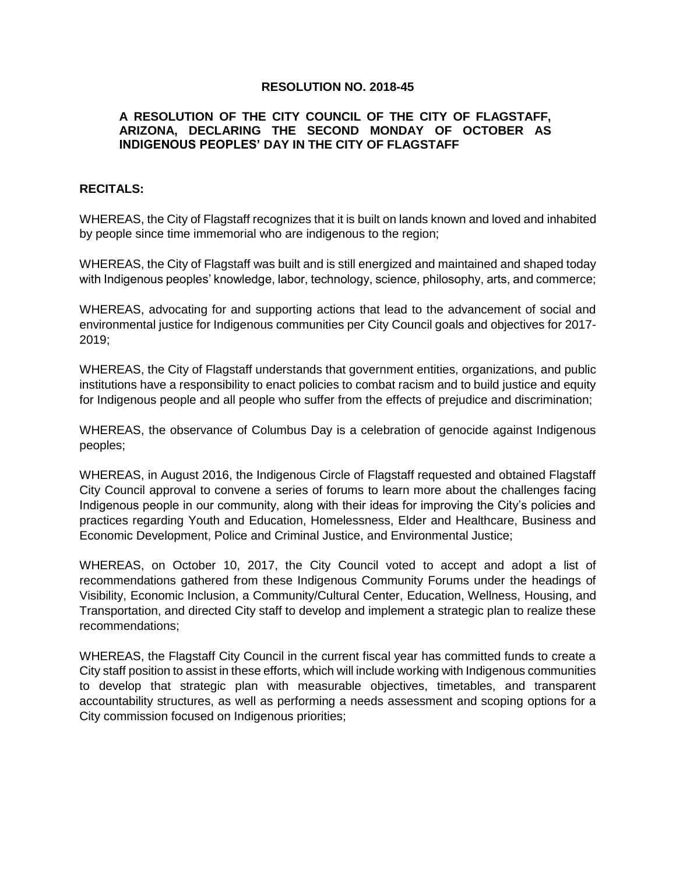#### **RESOLUTION NO. 2018-45**

## **A RESOLUTION OF THE CITY COUNCIL OF THE CITY OF FLAGSTAFF, ARIZONA, DECLARING THE SECOND MONDAY OF OCTOBER AS INDIGENOUS PEOPLES' DAY IN THE CITY OF FLAGSTAFF**

## **RECITALS:**

WHEREAS, the City of Flagstaff recognizes that it is built on lands known and loved and inhabited by people since time immemorial who are indigenous to the region;

WHEREAS, the City of Flagstaff was built and is still energized and maintained and shaped today with Indigenous peoples' knowledge, labor, technology, science, philosophy, arts, and commerce;

WHEREAS, advocating for and supporting actions that lead to the advancement of social and environmental justice for Indigenous communities per City Council goals and objectives for 2017- 2019;

WHEREAS, the City of Flagstaff understands that government entities, organizations, and public institutions have a responsibility to enact policies to combat racism and to build justice and equity for Indigenous people and all people who suffer from the effects of prejudice and discrimination;

WHEREAS, the observance of Columbus Day is a celebration of genocide against Indigenous peoples;

WHEREAS, in August 2016, the Indigenous Circle of Flagstaff requested and obtained Flagstaff City Council approval to convene a series of forums to learn more about the challenges facing Indigenous people in our community, along with their ideas for improving the City's policies and practices regarding Youth and Education, Homelessness, Elder and Healthcare, Business and Economic Development, Police and Criminal Justice, and Environmental Justice;

WHEREAS, on October 10, 2017, the City Council voted to accept and adopt a list of recommendations gathered from these Indigenous Community Forums under the headings of Visibility, Economic Inclusion, a Community/Cultural Center, Education, Wellness, Housing, and Transportation, and directed City staff to develop and implement a strategic plan to realize these recommendations;

WHEREAS, the Flagstaff City Council in the current fiscal year has committed funds to create a City staff position to assist in these efforts, which will include working with Indigenous communities to develop that strategic plan with measurable objectives, timetables, and transparent accountability structures, as well as performing a needs assessment and scoping options for a City commission focused on Indigenous priorities;